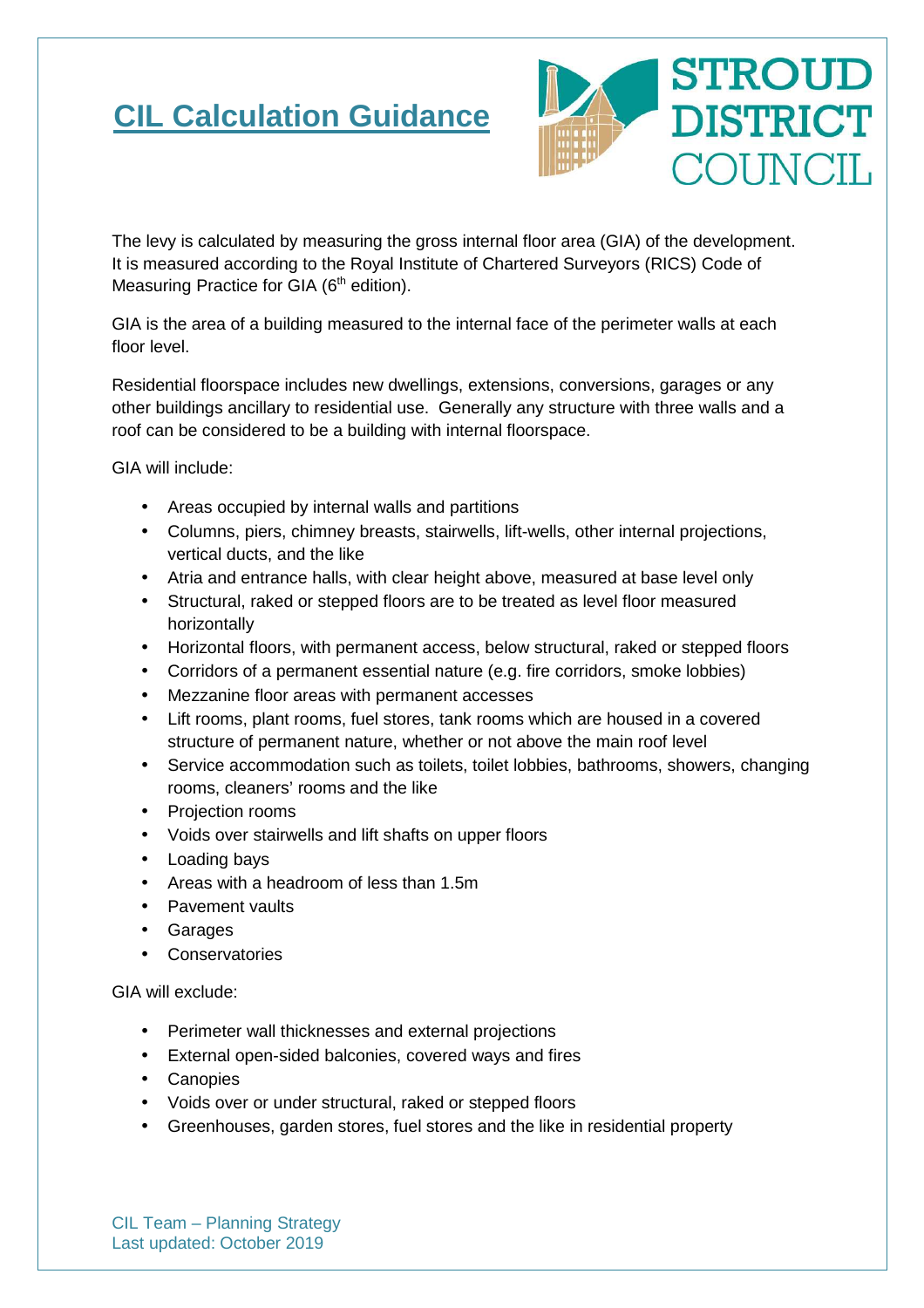# **CIL Calculation Guidance**



The levy is calculated by measuring the gross internal floor area (GIA) of the development. It is measured according to the Royal Institute of Chartered Surveyors (RICS) Code of Measuring Practice for GIA  $(6<sup>th</sup>$  edition).

GIA is the area of a building measured to the internal face of the perimeter walls at each floor level.

Residential floorspace includes new dwellings, extensions, conversions, garages or any other buildings ancillary to residential use. Generally any structure with three walls and a roof can be considered to be a building with internal floorspace.

GIA will include:

- Areas occupied by internal walls and partitions
- Columns, piers, chimney breasts, stairwells, lift-wells, other internal projections, vertical ducts, and the like
- Atria and entrance halls, with clear height above, measured at base level only
- Structural, raked or stepped floors are to be treated as level floor measured horizontally
- Horizontal floors, with permanent access, below structural, raked or stepped floors
- Corridors of a permanent essential nature (e.g. fire corridors, smoke lobbies)
- Mezzanine floor areas with permanent accesses
- Lift rooms, plant rooms, fuel stores, tank rooms which are housed in a covered structure of permanent nature, whether or not above the main roof level
- Service accommodation such as toilets, toilet lobbies, bathrooms, showers, changing rooms, cleaners' rooms and the like
- Projection rooms
- Voids over stairwells and lift shafts on upper floors
- Loading bays
- Areas with a headroom of less than 1.5m
- Pavement vaults
- Garages
- Conservatories

GIA will exclude:

- Perimeter wall thicknesses and external projections
- External open-sided balconies, covered ways and fires
- Canopies
- Voids over or under structural, raked or stepped floors
- Greenhouses, garden stores, fuel stores and the like in residential property

CIL Team – Planning Strategy Last updated: October 2019